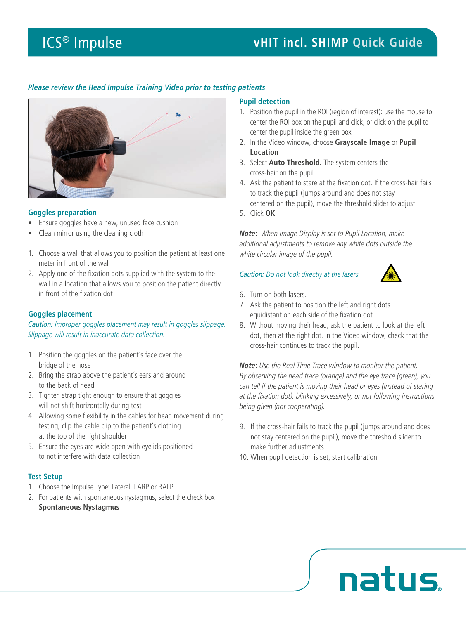# *Please review the Head Impulse Training Video prior to testing patients*



### **Goggles preparation**

- Ensure goggles have a new, unused face cushion
- Clean mirror using the cleaning cloth
- 1. Choose a wall that allows you to position the patient at least one meter in front of the wall
- 2. Apply one of the fixation dots supplied with the system to the wall in a location that allows you to position the patient directly in front of the fixation dot

### **Goggles placement**

*Caution: Improper goggles placement may result in goggles slippage. Slippage will result in inaccurate data collection.*

- 1. Position the goggles on the patient's face over the bridge of the nose
- 2. Bring the strap above the patient's ears and around to the back of head
- 3. Tighten strap tight enough to ensure that goggles will not shift horizontally during test
- 4. Allowing some flexibility in the cables for head movement during testing, clip the cable clip to the patient's clothing at the top of the right shoulder
- 5. Ensure the eyes are wide open with eyelids positioned to not interfere with data collection

# **Test Setup**

- 1. Choose the Impulse Type: Lateral, LARP or RALP
- 2. For patients with spontaneous nystagmus, select the check box **Spontaneous Nystagmus**

### **Pupil detection**

- 1. Position the pupil in the ROI (region of interest): use the mouse to center the ROI box on the pupil and click, or click on the pupil to center the pupil inside the green box
- 2. In the Video window, choose **Grayscale Image** or **Pupil Location**
- 3. Select **Auto Threshold.** The system centers the cross-hair on the pupil.
- 4. Ask the patient to stare at the fixation dot. If the cross-hair fails to track the pupil (jumps around and does not stay centered on the pupil), move the threshold slider to adjust.
- 5. Click **OK**

*Note***:** *When Image Display is set to Pupil Location, make additional adjustments to remove any white dots outside the white circular image of the pupil.*

### *Caution: Do not look directly at the lasers.*



natus

- 6. Turn on both lasers.
- 7. Ask the patient to position the left and right dots equidistant on each side of the fixation dot.
- 8. Without moving their head, ask the patient to look at the left dot, then at the right dot. In the Video window, check that the cross-hair continues to track the pupil.

*Note***:** *Use the Real Time Trace window to monitor the patient. By observing the head trace (orange) and the eye trace (green), you can tell if the patient is moving their head or eyes (instead of staring at the fixation dot), blinking excessively, or not following instructions being given (not cooperating).*

- 9. If the cross-hair fails to track the pupil (jumps around and does not stay centered on the pupil), move the threshold slider to make further adjustments.
- 10. When pupil detection is set, start calibration.